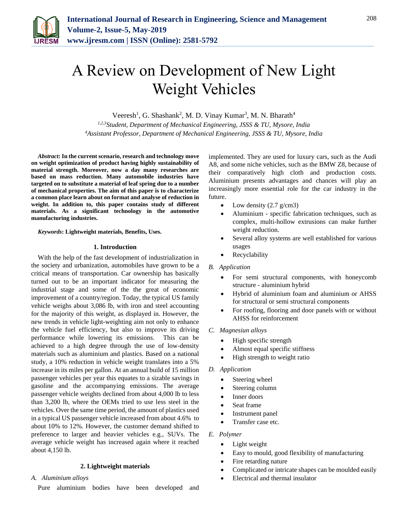

# A Review on Development of New Light Weight Vehicles

Veeresh<sup>1</sup>, G. Shashank<sup>2</sup>, M. D. Vinay Kumar<sup>3</sup>, M. N. Bharath<sup>4</sup> *1,2,3Student, Department of Mechanical Engineering, JSSS & TU, Mysore, India 4Assistant Professor, Department of Mechanical Engineering, JSSS & TU, Mysore, India*

*Abstract***: In the current scenario, research and technology move on weight optimization of product having highly sustainability of material strength. Moreover, now a day many researches are based on mass reduction. Many automobile industries have targeted on to substitute a material of leaf spring due to a number of mechanical properties. The aim of this paper is to characterize a common place learn about on format and analyse of reduction in weight. In addition to, this paper contains study of different materials. As a significant technology in the automotive manufacturing industries.**

#### *Keywords***: Lightweight materials, Benefits, Uses.**

#### **1. Introduction**

With the help of the fast development of industrialization in the society and urbanization, automobiles have grown to be a critical means of transportation. Car ownership has basically turned out to be an important indicator for measuring the industrial stage and some of the the great of economic improvement of a country/region. Today, the typical US family vehicle weighs about 3,086 lb, with iron and steel accounting for the majority of this weight, as displayed in. However, the new trends in vehicle light-weighting aim not only to enhance the vehicle fuel efficiency, but also to improve its driving performance while lowering its emissions. This can be achieved to a high degree through the use of low-density materials such as aluminium and plastics. Based on a national study, a 10% reduction in vehicle weight translates into a 5% increase in its miles per gallon. At an annual build of 15 million passenger vehicles per year this equates to a sizable savings in gasoline and the accompanying emissions. The average passenger vehicle weights declined from about 4,000 lb to less than 3,200 lb, where the OEMs tried to use less steel in the vehicles. Over the same time period, the amount of plastics used in a typical US passenger vehicle increased from about 4.6% to about 10% to 12%. However, the customer demand shifted to preference to larger and heavier vehicles e.g., SUVs. The average vehicle weight has increased again where it reached about 4,150 lb.

#### **2. Lightweight materials**

#### *A. Aluminium alloys*

Pure aluminium bodies have been developed and

implemented. They are used for luxury cars, such as the Audi A8, and some niche vehicles, such as the BMW Z8, because of their comparatively high cloth and production costs. Aluminium presents advantages and chances will play an increasingly more essential role for the car industry in the future.

- Low density  $(2.7 \text{ g/cm}^3)$
- Aluminium specific fabrication techniques, such as complex, multi-hollow extrusions can make further weight reduction.
- Several alloy systems are well established for various usages
- Recyclability
- *B. Application*
	- For semi structural components, with honeycomb structure - aluminium hybrid
	- Hybrid of aluminium foam and aluminium or AHSS for structural or semi structural components
	- For roofing, flooring and door panels with or without AHSS for reinforcement
- *C. Magnesiun alloys*
	- High specific strength
	- Almost equal specific stiffness
	- High strength to weight ratio
- *D. Application*
	- Steering wheel
	- Steering column
	- Inner doors
	- Seat frame
	- Instrument panel
	- Transfer case etc.

#### *E. Polymer*

- Light weight
- Easy to mould, good flexibility of manufacturing
- Fire retarding nature
- Complicated or intricate shapes can be moulded easily
- Electrical and thermal insulator